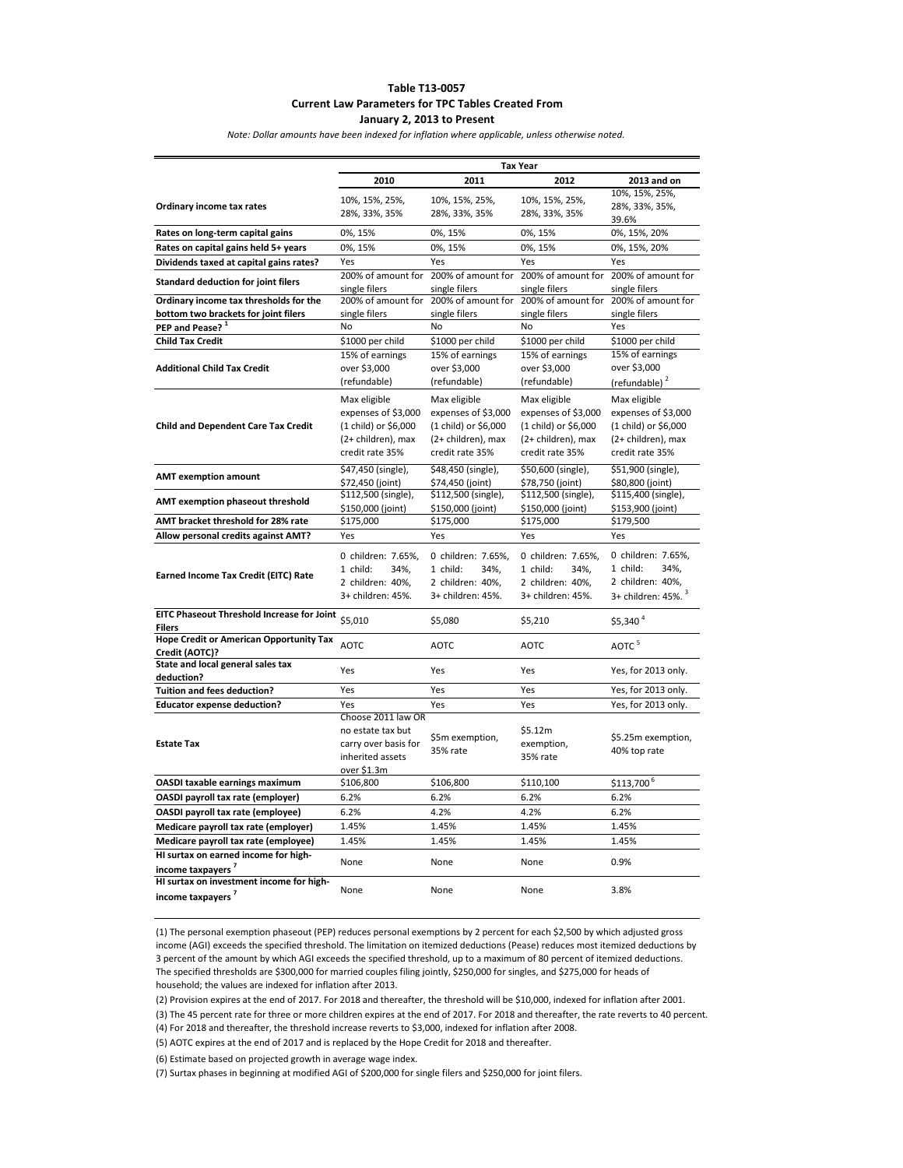#### **Table T13-0057 Current Law Parameters for TPC Tables Created From January 2, 2013 to Present**

*Note: Dollar amounts have been indexed for inflation where applicable, unless otherwise noted.*

|                                                                    | <b>Tax Year</b>                       |                                       |                                                        |                                           |
|--------------------------------------------------------------------|---------------------------------------|---------------------------------------|--------------------------------------------------------|-------------------------------------------|
|                                                                    | 2010                                  | 2011                                  | 2012                                                   | 2013 and on                               |
| Ordinary income tax rates                                          | 10%, 15%, 25%,<br>28%, 33%, 35%       | 10%, 15%, 25%,<br>28%, 33%, 35%       | 10%, 15%, 25%,<br>28%, 33%, 35%                        | 10%, 15%, 25%,<br>28%, 33%, 35%,<br>39.6% |
| Rates on long-term capital gains                                   | 0%, 15%                               | 0%, 15%                               | 0%, 15%                                                | 0%, 15%, 20%                              |
| Rates on capital gains held 5+ years                               | 0%, 15%                               | 0%, 15%                               | 0%, 15%                                                | 0%, 15%, 20%                              |
| Dividends taxed at capital gains rates?                            | Yes                                   | Yes                                   | Yes                                                    | Yes                                       |
| <b>Standard deduction for joint filers</b>                         | 200% of amount for<br>single filers   | single filers                         | 200% of amount for 200% of amount for<br>single filers | 200% of amount for<br>single filers       |
| Ordinary income tax thresholds for the                             | 200% of amount for                    |                                       | 200% of amount for 200% of amount for                  | 200% of amount for                        |
| bottom two brackets for joint filers                               | single filers                         | single filers                         | single filers                                          | single filers                             |
| PEP and Pease? <sup>1</sup>                                        | No                                    | No                                    | No                                                     | Yes                                       |
| <b>Child Tax Credit</b>                                            | \$1000 per child                      | \$1000 per child                      | \$1000 per child                                       | \$1000 per child                          |
|                                                                    | 15% of earnings                       | 15% of earnings                       | 15% of earnings                                        | 15% of earnings                           |
| <b>Additional Child Tax Credit</b>                                 | over \$3,000                          | over \$3,000                          | over \$3,000                                           | over \$3,000                              |
|                                                                    | (refundable)                          | (refundable)                          | (refundable)                                           | (refundable) <sup>2</sup>                 |
|                                                                    | Max eligible                          | Max eligible                          | Max eligible                                           | Max eligible                              |
|                                                                    | expenses of \$3,000                   | expenses of \$3,000                   | expenses of \$3,000                                    | expenses of \$3,000                       |
| <b>Child and Dependent Care Tax Credit</b>                         | (1 child) or \$6,000                  | (1 child) or \$6,000                  | (1 child) or \$6,000                                   | (1 child) or \$6,000                      |
|                                                                    | (2+ children), max<br>credit rate 35% | (2+ children), max<br>credit rate 35% | (2+ children), max<br>credit rate 35%                  | (2+ children), max<br>credit rate 35%     |
|                                                                    | \$47,450 (single),                    | \$48,450 (single),                    | \$50,600 (single),                                     | \$51,900 (single),                        |
| <b>AMT exemption amount</b>                                        | \$72,450 (joint)                      | \$74,450 (joint)                      | \$78,750 (joint)                                       | \$80,800 (joint)                          |
|                                                                    | \$112,500 (single),                   | \$112,500 (single),                   | \$112,500 (single),                                    | \$115,400 (single),                       |
| AMT exemption phaseout threshold                                   | \$150,000 (joint)                     | \$150,000 (joint)                     | \$150,000 (joint)                                      | \$153,900 (joint)                         |
| AMT bracket threshold for 28% rate                                 | \$175,000                             | \$175,000                             | \$175,000                                              | \$179,500                                 |
| Allow personal credits against AMT?                                | Yes                                   | Yes                                   | Yes                                                    | Yes                                       |
|                                                                    |                                       |                                       |                                                        |                                           |
|                                                                    | 0 children: 7.65%,                    | 0 children: 7.65%,                    | 0 children: 7.65%,                                     | 0 children: 7.65%,                        |
| Earned Income Tax Credit (EITC) Rate                               | 1 child:<br>34%.                      | 1 child:<br>34%,                      | 1 child:<br>34%,                                       | 34%,<br>1 child:                          |
|                                                                    | 2 children: 40%,                      | 2 children: 40%,                      | 2 children: 40%,                                       | 2 children: 40%,                          |
|                                                                    | 3+ children: 45%.                     | 3+ children: 45%.                     | 3+ children: 45%.                                      | 3+ children: 45%. <sup>3</sup>            |
| <b>EITC Phaseout Threshold Increase for Joint</b><br><b>Filers</b> | \$5,010                               | \$5,080                               | \$5,210                                                | \$5,340 <sup>4</sup>                      |
| <b>Hope Credit or American Opportunity Tax</b>                     |                                       |                                       |                                                        |                                           |
| Credit (AOTC)?                                                     | <b>AOTC</b>                           | <b>AOTC</b>                           | <b>AOTC</b>                                            | AOTC <sup>5</sup>                         |
| State and local general sales tax                                  | Yes                                   | Yes                                   | Yes                                                    | Yes, for 2013 only.                       |
| deduction?                                                         |                                       |                                       |                                                        |                                           |
| <b>Tuition and fees deduction?</b>                                 | Yes                                   | Yes                                   | Yes                                                    | Yes, for 2013 only.                       |
| <b>Educator expense deduction?</b>                                 | Yes                                   | Yes                                   | Yes                                                    | Yes, for 2013 only.                       |
|                                                                    | Choose 2011 law OR                    |                                       |                                                        |                                           |
|                                                                    | no estate tax but                     | \$5m exemption,                       | \$5.12m                                                | \$5.25m exemption,                        |
| <b>Estate Tax</b>                                                  | carry over basis for                  | 35% rate                              | exemption,                                             | 40% top rate                              |
|                                                                    | inherited assets                      |                                       | 35% rate                                               |                                           |
|                                                                    | over \$1.3m                           |                                       |                                                        |                                           |
| OASDI taxable earnings maximum                                     | \$106,800                             | \$106,800                             | \$110,100                                              | \$113,700 <sup>6</sup>                    |
| OASDI payroll tax rate (employer)                                  | 6.2%                                  | 6.2%                                  | 6.2%                                                   | 6.2%                                      |
| OASDI payroll tax rate (employee)                                  | 6.2%                                  | 4.2%                                  | 4.2%                                                   | 6.2%                                      |
| Medicare payroll tax rate (employer)                               | 1.45%                                 | 1.45%                                 | 1.45%                                                  | 1.45%                                     |
| Medicare payroll tax rate (employee)                               | 1.45%                                 | 1.45%                                 | 1.45%                                                  | 1.45%                                     |
| HI surtax on earned income for high-                               | None                                  | None                                  | None                                                   | 0.9%                                      |
| income taxpayers <sup>7</sup>                                      |                                       |                                       |                                                        |                                           |
| HI surtax on investment income for high-                           | None                                  | None                                  | None                                                   | 3.8%                                      |
| income taxpayers <sup>7</sup>                                      |                                       |                                       |                                                        |                                           |

(1) The personal exemption phaseout (PEP) reduces personal exemptions by 2 percent for each \$2,500 by which adjusted gross income (AGI) exceeds the specified threshold. The limitation on itemized deductions (Pease) reduces most itemized deductions by 3 percent of the amount by which AGI exceeds the specified threshold, up to a maximum of 80 percent of itemized deductions. The specified thresholds are \$300,000 for married couples filing jointly, \$250,000 for singles, and \$275,000 for heads of household; the values are indexed for inflation after 2013.

(2) Provision expires at the end of 2017. For 2018 and thereafter, the threshold will be \$10,000, indexed for inflation after 2001.

(3) The 45 percent rate for three or more children expires at the end of 2017. For 2018 and thereafter, the rate reverts to 40 percent.

(4) For 2018 and thereafter, the threshold increase reverts to \$3,000, indexed for inflation after 2008.

(5) AOTC expires at the end of 2017 and is replaced by the Hope Credit for 2018 and thereafter.

(6) Estimate based on projected growth in average wage index.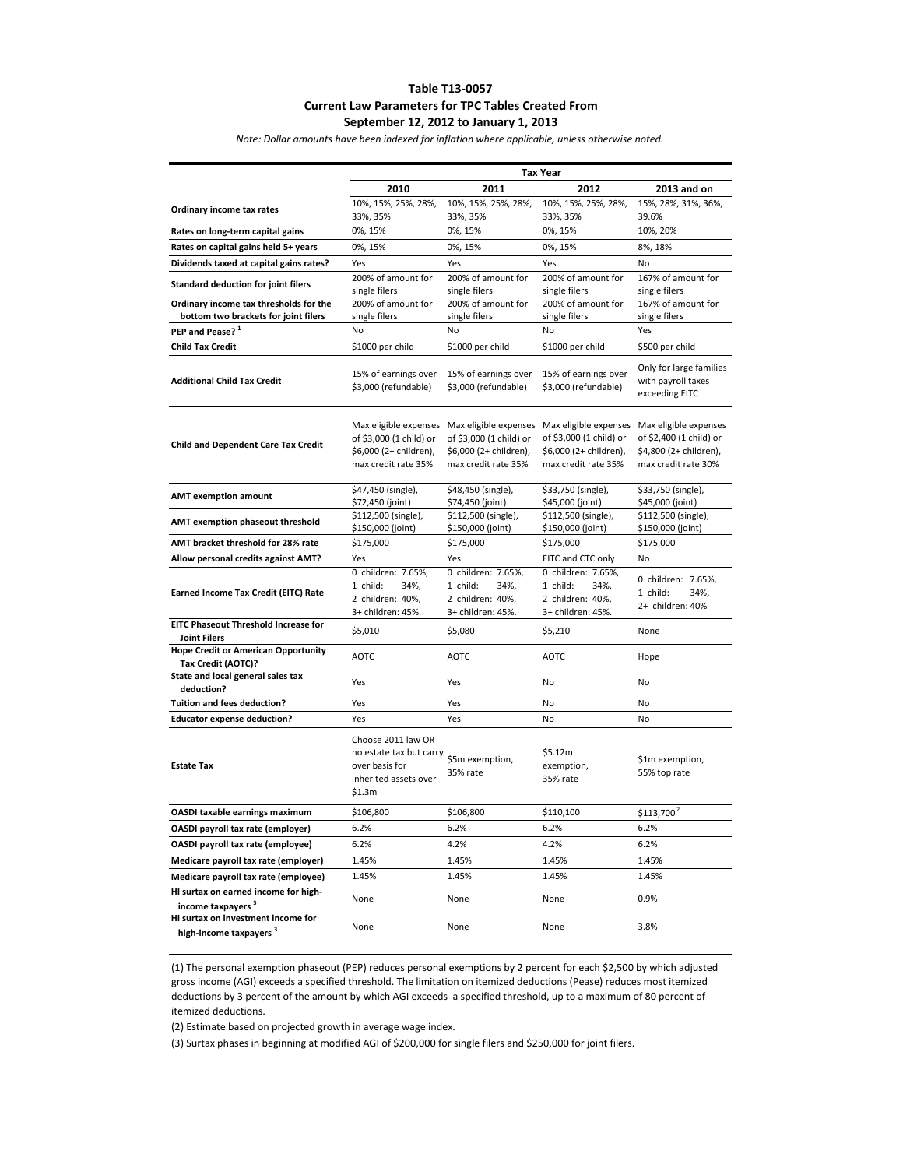# **Table T13-0057 Current Law Parameters for TPC Tables Created From September 12, 2012 to January 1, 2013**

*Note: Dollar amounts have been indexed for inflation where applicable, unless otherwise noted.*

|                                                                                 | <b>Tax Year</b>                                                                                    |                                                                                                                         |                                                                                 |                                                                                                   |
|---------------------------------------------------------------------------------|----------------------------------------------------------------------------------------------------|-------------------------------------------------------------------------------------------------------------------------|---------------------------------------------------------------------------------|---------------------------------------------------------------------------------------------------|
|                                                                                 | 2010                                                                                               | 2011                                                                                                                    | 2012                                                                            | 2013 and on                                                                                       |
| Ordinary income tax rates                                                       | 10%, 15%, 25%, 28%,                                                                                | 10%, 15%, 25%, 28%,                                                                                                     | 10%, 15%, 25%, 28%,                                                             | 15%, 28%, 31%, 36%,                                                                               |
| Rates on long-term capital gains                                                | 33%, 35%<br>0%, 15%                                                                                | 33%, 35%<br>0%, 15%                                                                                                     | 33%, 35%<br>0%, 15%                                                             | 39.6%<br>10%, 20%                                                                                 |
|                                                                                 | 0%, 15%                                                                                            | 0%, 15%                                                                                                                 | 0%, 15%                                                                         | 8%, 18%                                                                                           |
| Rates on capital gains held 5+ years<br>Dividends taxed at capital gains rates? |                                                                                                    |                                                                                                                         |                                                                                 |                                                                                                   |
|                                                                                 | Yes<br>200% of amount for                                                                          | Yes<br>200% of amount for                                                                                               | Yes<br>200% of amount for                                                       | No<br>167% of amount for                                                                          |
| <b>Standard deduction for joint filers</b>                                      | single filers                                                                                      | single filers                                                                                                           | single filers                                                                   | single filers                                                                                     |
| Ordinary income tax thresholds for the                                          | 200% of amount for                                                                                 | 200% of amount for                                                                                                      | 200% of amount for                                                              | 167% of amount for                                                                                |
| bottom two brackets for joint filers<br>PEP and Pease? <sup>1</sup>             | single filers<br>No                                                                                | single filers<br>No                                                                                                     | single filers<br>No                                                             | single filers<br>Yes                                                                              |
|                                                                                 | \$1000 per child                                                                                   | \$1000 per child                                                                                                        | \$1000 per child                                                                |                                                                                                   |
| <b>Child Tax Credit</b>                                                         |                                                                                                    |                                                                                                                         |                                                                                 | \$500 per child                                                                                   |
| <b>Additional Child Tax Credit</b>                                              | 15% of earnings over<br>\$3,000 (refundable)                                                       | 15% of earnings over<br>\$3,000 (refundable)                                                                            | 15% of earnings over<br>\$3,000 (refundable)                                    | Only for large families<br>with payroll taxes<br>exceeding EITC                                   |
| <b>Child and Dependent Care Tax Credit</b>                                      | Max eligible expenses<br>of \$3,000 (1 child) or<br>\$6,000 (2+ children),<br>max credit rate 35%  | Max eligible expenses Max eligible expenses<br>of \$3,000 (1 child) or<br>\$6,000 (2+ children),<br>max credit rate 35% | of \$3,000 (1 child) or<br>\$6,000 (2+ children),<br>max credit rate 35%        | Max eligible expenses<br>of \$2,400 (1 child) or<br>\$4,800 (2+ children),<br>max credit rate 30% |
| <b>AMT exemption amount</b>                                                     | \$47,450 (single),<br>\$72,450 (joint)                                                             | \$48,450 (single),<br>\$74,450 (joint)                                                                                  | \$33,750 (single),<br>\$45,000 (joint)                                          | \$33,750 (single),<br>\$45,000 (joint)                                                            |
| AMT exemption phaseout threshold                                                | \$112,500 (single),<br>\$150,000 (joint)                                                           | \$112,500 (single),<br>\$150,000 (joint)                                                                                | \$112,500 (single),<br>\$150,000 (joint)                                        | \$112,500 (single),<br>\$150,000 (joint)                                                          |
| AMT bracket threshold for 28% rate                                              | \$175,000                                                                                          | \$175,000                                                                                                               | \$175,000                                                                       | \$175,000                                                                                         |
| Allow personal credits against AMT?                                             | Yes                                                                                                | Yes                                                                                                                     | EITC and CTC only                                                               | No                                                                                                |
| <b>Earned Income Tax Credit (EITC) Rate</b>                                     | 0 children: 7.65%,<br>1 child:<br>34%,<br>2 children: 40%,<br>3+ children: 45%.                    | 0 children: 7.65%,<br>1 child:<br>34%,<br>2 children: 40%,<br>3+ children: 45%.                                         | 0 children: 7.65%,<br>1 child:<br>34%,<br>2 children: 40%,<br>3+ children: 45%. | 0 children: 7.65%,<br>1 child:<br>34%,<br>2+ children: 40%                                        |
| <b>EITC Phaseout Threshold Increase for</b><br><b>Joint Filers</b>              | \$5,010                                                                                            | \$5,080                                                                                                                 | \$5,210                                                                         | None                                                                                              |
| <b>Hope Credit or American Opportunity</b><br>Tax Credit (AOTC)?                | <b>AOTC</b>                                                                                        | <b>AOTC</b>                                                                                                             | <b>AOTC</b>                                                                     | Hope                                                                                              |
| State and local general sales tax<br>deduction?                                 | Yes                                                                                                | Yes                                                                                                                     | No                                                                              | No                                                                                                |
| <b>Tuition and fees deduction?</b>                                              | Yes                                                                                                | Yes                                                                                                                     | No                                                                              | No                                                                                                |
| <b>Educator expense deduction?</b>                                              | Yes                                                                                                | Yes                                                                                                                     | No                                                                              | No                                                                                                |
| <b>Estate Tax</b>                                                               | Choose 2011 law OR<br>no estate tax but carry<br>over basis for<br>inherited assets over<br>\$1.3m | \$5m exemption,<br>35% rate                                                                                             | \$5.12m<br>exemption,<br>35% rate                                               | \$1m exemption,<br>55% top rate                                                                   |
| OASDI taxable earnings maximum                                                  | \$106,800                                                                                          | \$106,800                                                                                                               | \$110,100                                                                       | $$113,700^2$                                                                                      |
| OASDI payroll tax rate (employer)                                               | 6.2%                                                                                               | 6.2%                                                                                                                    | 6.2%                                                                            | 6.2%                                                                                              |
| OASDI payroll tax rate (employee)                                               | 6.2%                                                                                               | 4.2%                                                                                                                    | 4.2%                                                                            | 6.2%                                                                                              |
| Medicare payroll tax rate (employer)                                            | 1.45%                                                                                              | 1.45%                                                                                                                   | 1.45%                                                                           | 1.45%                                                                                             |
| Medicare payroll tax rate (employee)                                            | 1.45%                                                                                              | 1.45%                                                                                                                   | 1.45%                                                                           | 1.45%                                                                                             |
| HI surtax on earned income for high-<br>income taxpavers <sup>3</sup>           | None                                                                                               | None                                                                                                                    | None                                                                            | 0.9%                                                                                              |
| HI surtax on investment income for<br>high-income taxpayers <sup>3</sup>        | None                                                                                               | None                                                                                                                    | None                                                                            | 3.8%                                                                                              |

(1) The personal exemption phaseout (PEP) reduces personal exemptions by 2 percent for each \$2,500 by which adjusted gross income (AGI) exceeds a specified threshold. The limitation on itemized deductions (Pease) reduces most itemized deductions by 3 percent of the amount by which AGI exceeds a specified threshold, up to a maximum of 80 percent of itemized deductions.

(2) Estimate based on projected growth in average wage index.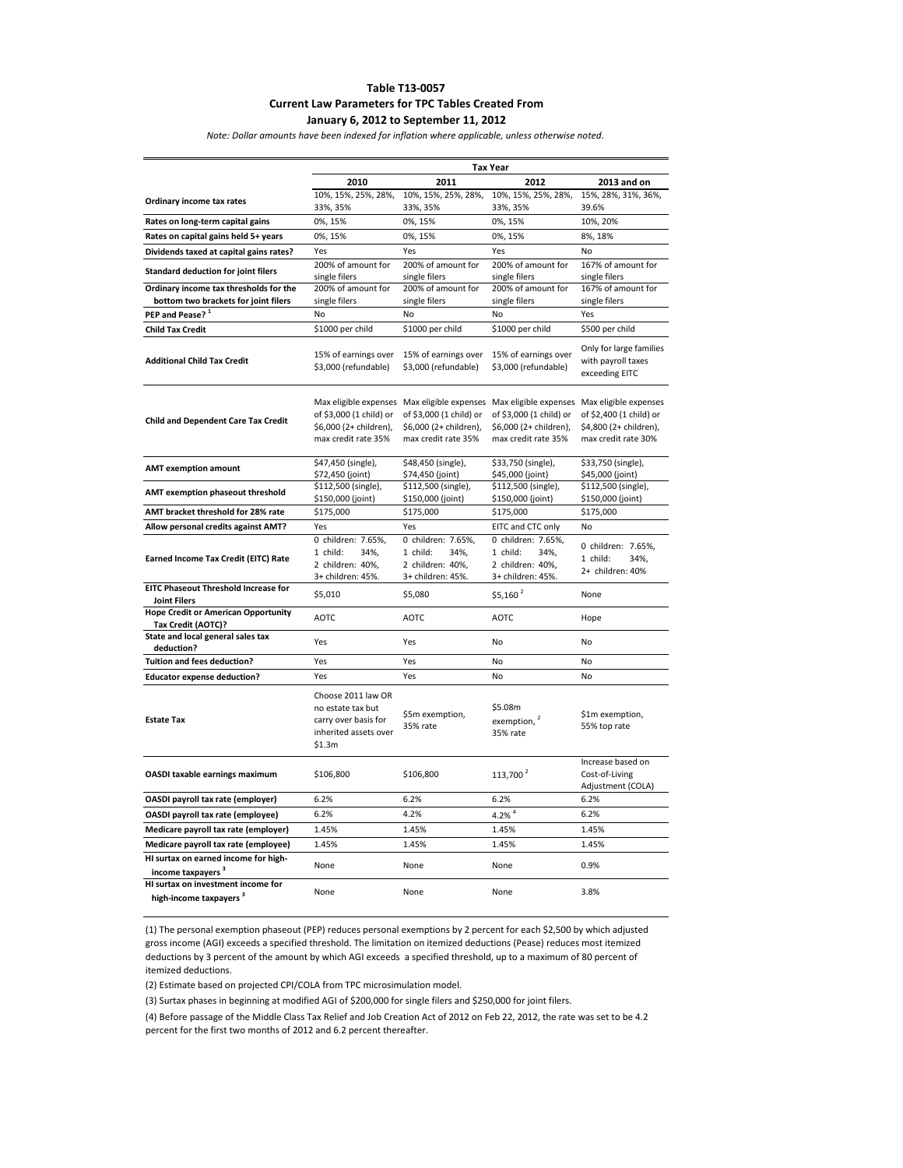#### **Table T13-0057 Current Law Parameters for TPC Tables Created From January 6, 2012 to September 11, 2012**

*Note: Dollar amounts have been indexed for inflation where applicable, unless otherwise noted.*

|                                                                          | <b>Tax Year</b>                                                                                    |                                                                                                                                               |                                                                                 |                                                                                                   |
|--------------------------------------------------------------------------|----------------------------------------------------------------------------------------------------|-----------------------------------------------------------------------------------------------------------------------------------------------|---------------------------------------------------------------------------------|---------------------------------------------------------------------------------------------------|
|                                                                          | 2010                                                                                               | 2011                                                                                                                                          | 2012                                                                            | 2013 and on                                                                                       |
| Ordinary income tax rates                                                | 10%, 15%, 25%, 28%,                                                                                | 10%, 15%, 25%, 28%,                                                                                                                           | 10%, 15%, 25%, 28%,                                                             | 15%, 28%, 31%, 36%,                                                                               |
|                                                                          | 33%, 35%                                                                                           | 33%, 35%                                                                                                                                      | 33%, 35%                                                                        | 39.6%                                                                                             |
| Rates on long-term capital gains                                         | 0%, 15%                                                                                            | 0%, 15%                                                                                                                                       | 0%, 15%                                                                         | 10%, 20%                                                                                          |
| Rates on capital gains held 5+ years                                     | 0%, 15%                                                                                            | 0%, 15%                                                                                                                                       | 0%, 15%                                                                         | 8%, 18%                                                                                           |
| Dividends taxed at capital gains rates?                                  | Yes                                                                                                | Yes                                                                                                                                           | Yes                                                                             | <b>No</b>                                                                                         |
| <b>Standard deduction for joint filers</b>                               | 200% of amount for                                                                                 | 200% of amount for                                                                                                                            | 200% of amount for                                                              | 167% of amount for                                                                                |
| Ordinary income tax thresholds for the                                   | single filers<br>200% of amount for                                                                | single filers<br>200% of amount for                                                                                                           | single filers<br>200% of amount for                                             | single filers<br>167% of amount for                                                               |
| bottom two brackets for joint filers                                     | single filers                                                                                      | single filers                                                                                                                                 | single filers                                                                   | single filers                                                                                     |
| PEP and Pease? <sup>1</sup>                                              | No                                                                                                 | No                                                                                                                                            | N <sub>0</sub>                                                                  | Yes                                                                                               |
| <b>Child Tax Credit</b>                                                  | \$1000 per child                                                                                   | \$1000 per child                                                                                                                              | \$1000 per child                                                                | \$500 per child                                                                                   |
|                                                                          |                                                                                                    |                                                                                                                                               |                                                                                 |                                                                                                   |
| <b>Additional Child Tax Credit</b>                                       | 15% of earnings over<br>\$3,000 (refundable)                                                       | 15% of earnings over<br>\$3,000 (refundable)                                                                                                  | 15% of earnings over<br>\$3,000 (refundable)                                    | Only for large families<br>with payroll taxes<br>exceeding EITC                                   |
| <b>Child and Dependent Care Tax Credit</b>                               | of \$3,000 (1 child) or<br>\$6,000 (2+ children),<br>max credit rate 35%                           | Max eligible expenses Max eligible expenses Max eligible expenses<br>of \$3,000 (1 child) or<br>\$6,000 (2+ children),<br>max credit rate 35% | of \$3,000 (1 child) or<br>\$6,000 (2+ children),<br>max credit rate 35%        | Max eligible expenses<br>of \$2,400 (1 child) or<br>\$4,800 (2+ children),<br>max credit rate 30% |
| <b>AMT</b> exemption amount                                              | \$47,450 (single),<br>\$72,450 (joint)                                                             | \$48,450 (single),<br>\$74,450 (joint)                                                                                                        | \$33,750 (single),<br>\$45,000 (joint)                                          | \$33,750 (single),<br>\$45,000 (joint)                                                            |
| AMT exemption phaseout threshold                                         | \$112,500 (single),<br>\$150,000 (joint)                                                           | \$112,500 (single),<br>\$150,000 (joint)                                                                                                      | \$112,500 (single),<br>\$150,000 (joint)                                        | \$112,500 (single),<br>\$150,000 (joint)                                                          |
| AMT bracket threshold for 28% rate                                       | \$175,000                                                                                          | \$175,000                                                                                                                                     | \$175,000                                                                       | \$175,000                                                                                         |
| Allow personal credits against AMT?                                      | Yes                                                                                                | Yes                                                                                                                                           | EITC and CTC only                                                               | No                                                                                                |
| <b>Earned Income Tax Credit (EITC) Rate</b>                              | 0 children: 7.65%,<br>34%,<br>1 child:<br>2 children: 40%,<br>3+ children: 45%.                    | 0 children: 7.65%,<br>1 child:<br>34%,<br>2 children: 40%,<br>3+ children: 45%.                                                               | 0 children: 7.65%,<br>1 child:<br>34%,<br>2 children: 40%,<br>3+ children: 45%. | 0 children: 7.65%,<br>1 child:<br>34%,<br>2+ children: 40%                                        |
| <b>EITC Phaseout Threshold Increase for</b><br><b>Joint Filers</b>       | \$5,010                                                                                            | \$5,080                                                                                                                                       | $$5,160^2$                                                                      | None                                                                                              |
| <b>Hope Credit or American Opportunity</b><br>Tax Credit (AOTC)?         | <b>AOTC</b>                                                                                        | <b>AOTC</b>                                                                                                                                   | AOTC                                                                            | Hope                                                                                              |
| State and local general sales tax<br>deduction?                          | Yes                                                                                                | Yes                                                                                                                                           | No                                                                              | No                                                                                                |
| <b>Tuition and fees deduction?</b>                                       | Yes                                                                                                | Yes                                                                                                                                           | No                                                                              | No                                                                                                |
| <b>Educator expense deduction?</b>                                       | Yes                                                                                                | Yes                                                                                                                                           | <b>No</b>                                                                       | No                                                                                                |
| <b>Estate Tax</b>                                                        | Choose 2011 law OR<br>no estate tax but<br>carry over basis for<br>inherited assets over<br>\$1.3m | \$5m exemption,<br>35% rate                                                                                                                   | \$5.08m<br>exemption, 2<br>35% rate                                             | \$1m exemption,<br>55% top rate                                                                   |
| OASDI taxable earnings maximum                                           | \$106,800                                                                                          | \$106,800                                                                                                                                     | 113,700 <sup>2</sup>                                                            | Increase based on<br>Cost-of-Living<br>Adjustment (COLA)                                          |
| OASDI payroll tax rate (employer)                                        | 6.2%                                                                                               | 6.2%                                                                                                                                          | 6.2%                                                                            | 6.2%                                                                                              |
| OASDI payroll tax rate (employee)                                        | 6.2%                                                                                               | 4.2%                                                                                                                                          | 4.2% $4$                                                                        | 6.2%                                                                                              |
| Medicare payroll tax rate (employer)                                     | 1.45%                                                                                              | 1.45%                                                                                                                                         | 1.45%                                                                           | 1.45%                                                                                             |
| Medicare payroll tax rate (employee)                                     | 1.45%                                                                                              | 1.45%                                                                                                                                         | 1.45%                                                                           | 1.45%                                                                                             |
| HI surtax on earned income for high-<br>income taxpayers <sup>3</sup>    | None                                                                                               | None                                                                                                                                          | None                                                                            | 0.9%                                                                                              |
| HI surtax on investment income for<br>high-income taxpayers <sup>3</sup> | None                                                                                               | None                                                                                                                                          | None                                                                            | 3.8%                                                                                              |

(1) The personal exemption phaseout (PEP) reduces personal exemptions by 2 percent for each \$2,500 by which adjusted gross income (AGI) exceeds a specified threshold. The limitation on itemized deductions (Pease) reduces most itemized deductions by 3 percent of the amount by which AGI exceeds a specified threshold, up to a maximum of 80 percent of itemized deductions.

(2) Estimate based on projected CPI/COLA from TPC microsimulation model.

(3) Surtax phases in beginning at modified AGI of \$200,000 for single filers and \$250,000 for joint filers.

(4) Before passage of the Middle Class Tax Relief and Job Creation Act of 2012 on Feb 22, 2012, the rate was set to be 4.2 percent for the first two months of 2012 and 6.2 percent thereafter.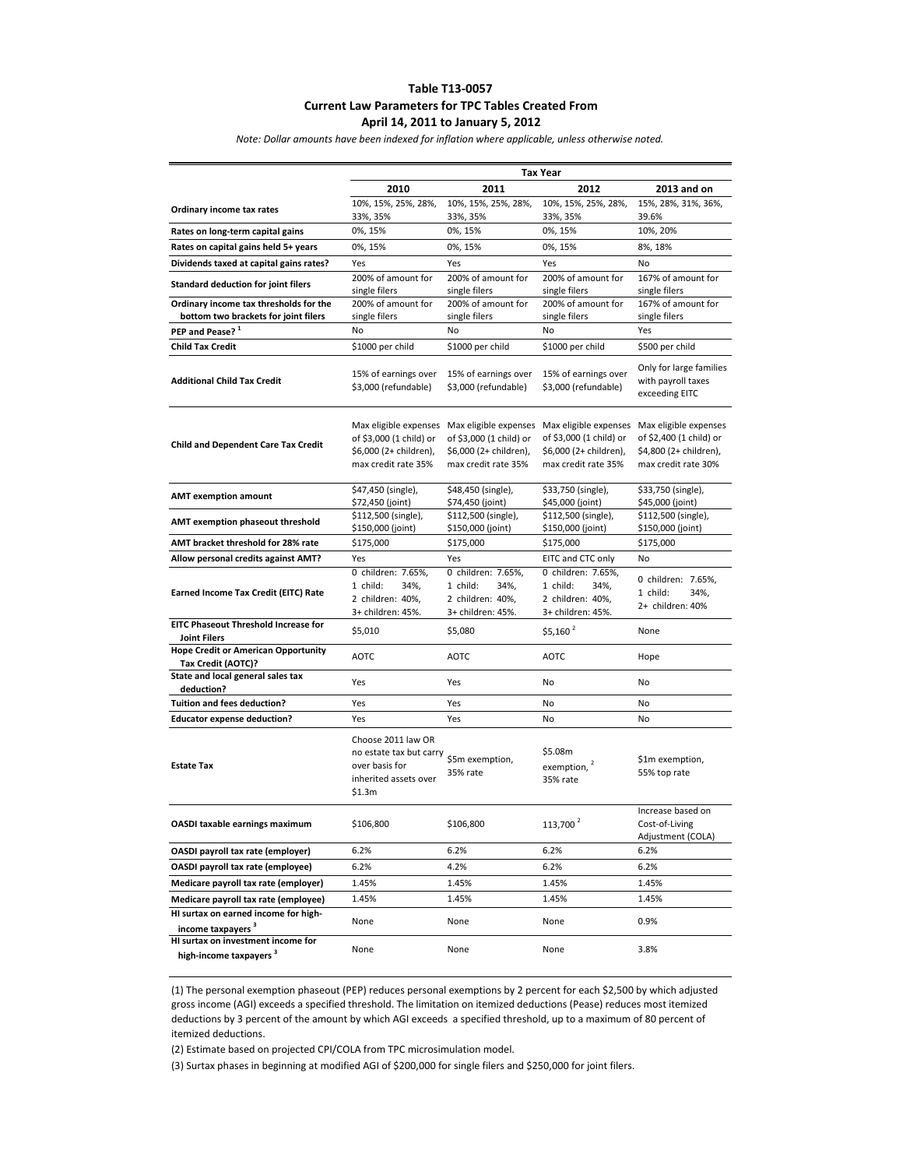## **Table T13-0057 Current Law Parameters for TPC Tables Created From April 14, 2011 to January 5, 2012**

*Note: Dollar amounts have been indexed for inflation where applicable, unless otherwise noted.*

|                                                                          | Tax Year                                                                                           |                                                                                                                         |                                                                                 |                                                                                                   |
|--------------------------------------------------------------------------|----------------------------------------------------------------------------------------------------|-------------------------------------------------------------------------------------------------------------------------|---------------------------------------------------------------------------------|---------------------------------------------------------------------------------------------------|
|                                                                          | 2010                                                                                               | 2011                                                                                                                    | 2012                                                                            | 2013 and on                                                                                       |
| Ordinary income tax rates                                                | 10%, 15%, 25%, 28%,                                                                                | 10%, 15%, 25%, 28%,                                                                                                     | 10%, 15%, 25%, 28%,                                                             | 15%, 28%, 31%, 36%,                                                                               |
|                                                                          | 33%, 35%                                                                                           | 33%, 35%                                                                                                                | 33%, 35%                                                                        | 39.6%                                                                                             |
| Rates on long-term capital gains                                         | 0%, 15%                                                                                            | 0%, 15%                                                                                                                 | 0%, 15%                                                                         | 10%, 20%                                                                                          |
| Rates on capital gains held 5+ years                                     | 0%, 15%                                                                                            | 0%, 15%                                                                                                                 | 0%, 15%                                                                         | 8%, 18%                                                                                           |
| Dividends taxed at capital gains rates?                                  | Yes                                                                                                | Yes                                                                                                                     | Yes                                                                             | No                                                                                                |
| Standard deduction for joint filers                                      | 200% of amount for                                                                                 | 200% of amount for                                                                                                      | 200% of amount for                                                              | 167% of amount for                                                                                |
| Ordinary income tax thresholds for the                                   | single filers<br>200% of amount for                                                                | single filers<br>200% of amount for                                                                                     | single filers<br>200% of amount for                                             | single filers<br>167% of amount for                                                               |
| bottom two brackets for joint filers                                     | single filers                                                                                      | single filers                                                                                                           | single filers                                                                   | single filers                                                                                     |
| PEP and Pease? <sup>1</sup>                                              | No                                                                                                 | No                                                                                                                      | No                                                                              | Yes                                                                                               |
| <b>Child Tax Credit</b>                                                  | \$1000 per child                                                                                   | \$1000 per child                                                                                                        | \$1000 per child                                                                | \$500 per child                                                                                   |
|                                                                          |                                                                                                    |                                                                                                                         |                                                                                 |                                                                                                   |
| <b>Additional Child Tax Credit</b>                                       | 15% of earnings over<br>\$3,000 (refundable)                                                       | 15% of earnings over<br>\$3,000 (refundable)                                                                            | 15% of earnings over<br>\$3,000 (refundable)                                    | Only for large families<br>with payroll taxes<br>exceeding EITC                                   |
| <b>Child and Dependent Care Tax Credit</b>                               | Max eligible expenses<br>of \$3,000 (1 child) or<br>\$6,000 (2+ children),<br>max credit rate 35%  | Max eligible expenses Max eligible expenses<br>of \$3,000 (1 child) or<br>\$6,000 (2+ children),<br>max credit rate 35% | of \$3,000 (1 child) or<br>\$6,000 (2+ children),<br>max credit rate 35%        | Max eligible expenses<br>of \$2,400 (1 child) or<br>\$4,800 (2+ children),<br>max credit rate 30% |
| <b>AMT exemption amount</b>                                              | \$47,450 (single),<br>\$72,450 (joint)                                                             | \$48,450 (single),<br>\$74,450 (joint)                                                                                  | \$33,750 (single),<br>\$45,000 (joint)                                          | \$33,750 (single),<br>\$45,000 (joint)                                                            |
| AMT exemption phaseout threshold                                         | \$112,500 (single),<br>\$150,000 (joint)                                                           | \$112,500 (single),<br>\$150,000 (joint)                                                                                | \$112,500 (single),<br>\$150,000 (joint)                                        | \$112,500 (single),<br>\$150,000 (joint)                                                          |
| AMT bracket threshold for 28% rate                                       | \$175,000                                                                                          | \$175,000                                                                                                               | \$175,000                                                                       | \$175,000                                                                                         |
| Allow personal credits against AMT?                                      | Yes                                                                                                | Yes                                                                                                                     | EITC and CTC only                                                               | No                                                                                                |
| Earned Income Tax Credit (EITC) Rate                                     | 0 children: 7.65%,<br>1 child:<br>34%,<br>2 children: 40%,<br>3+ children: 45%.                    | 0 children: 7.65%,<br>1 child:<br>34%,<br>2 children: 40%,<br>3+ children: 45%.                                         | 0 children: 7.65%,<br>1 child:<br>34%,<br>2 children: 40%,<br>3+ children: 45%. | 0 children: 7.65%,<br>1 child:<br>34%,<br>2+ children: 40%                                        |
| <b>EITC Phaseout Threshold Increase for</b>                              | \$5,010                                                                                            | \$5,080                                                                                                                 | $$5,160$ <sup>2</sup>                                                           | None                                                                                              |
| <b>Joint Filers</b><br><b>Hope Credit or American Opportunity</b>        |                                                                                                    |                                                                                                                         |                                                                                 |                                                                                                   |
| Tax Credit (AOTC)?                                                       | AOTC                                                                                               | <b>AOTC</b>                                                                                                             | AOTC                                                                            | Hope                                                                                              |
| State and local general sales tax<br>deduction?                          | Yes                                                                                                | Yes                                                                                                                     | No                                                                              | No                                                                                                |
| <b>Tuition and fees deduction?</b>                                       | Yes                                                                                                | Yes                                                                                                                     | No                                                                              | No                                                                                                |
| <b>Educator expense deduction?</b>                                       | Yes                                                                                                | Yes                                                                                                                     | No                                                                              | No                                                                                                |
| <b>Estate Tax</b>                                                        | Choose 2011 law OR<br>no estate tax but carry<br>over basis for<br>inherited assets over<br>\$1.3m | \$5m exemption,<br>35% rate                                                                                             | \$5.08m<br>exemption, $2$<br>35% rate                                           | \$1m exemption,<br>55% top rate                                                                   |
| OASDI taxable earnings maximum                                           | \$106,800                                                                                          | \$106,800                                                                                                               | $113,\!700$ $^2$                                                                | Increase based on<br>Cost-of-Living<br>Adjustment (COLA)                                          |
| OASDI payroll tax rate (employer)                                        | 6.2%                                                                                               | 6.2%                                                                                                                    | 6.2%                                                                            | 6.2%                                                                                              |
| OASDI payroll tax rate (employee)                                        | 6.2%                                                                                               | 4.2%                                                                                                                    | 6.2%                                                                            | 6.2%                                                                                              |
| Medicare payroll tax rate (employer)                                     | 1.45%                                                                                              | 1.45%                                                                                                                   | 1.45%                                                                           | 1.45%                                                                                             |
| Medicare payroll tax rate (employee)                                     | 1.45%                                                                                              | 1.45%                                                                                                                   | 1.45%                                                                           | 1.45%                                                                                             |
| HI surtax on earned income for high-                                     |                                                                                                    |                                                                                                                         |                                                                                 |                                                                                                   |
| income taxpayers <sup>3</sup>                                            | None                                                                                               | None                                                                                                                    | None                                                                            | 0.9%                                                                                              |
| HI surtax on investment income for<br>high-income taxpayers <sup>3</sup> | None                                                                                               | None                                                                                                                    | None                                                                            | 3.8%                                                                                              |

(1) The personal exemption phaseout (PEP) reduces personal exemptions by 2 percent for each \$2,500 by which adjusted gross income (AGI) exceeds a specified threshold. The limitation on itemized deductions (Pease) reduces most itemized deductions by 3 percent of the amount by which AGI exceeds a specified threshold, up to a maximum of 80 percent of itemized deductions.

(2) Estimate based on projected CPI/COLA from TPC microsimulation model.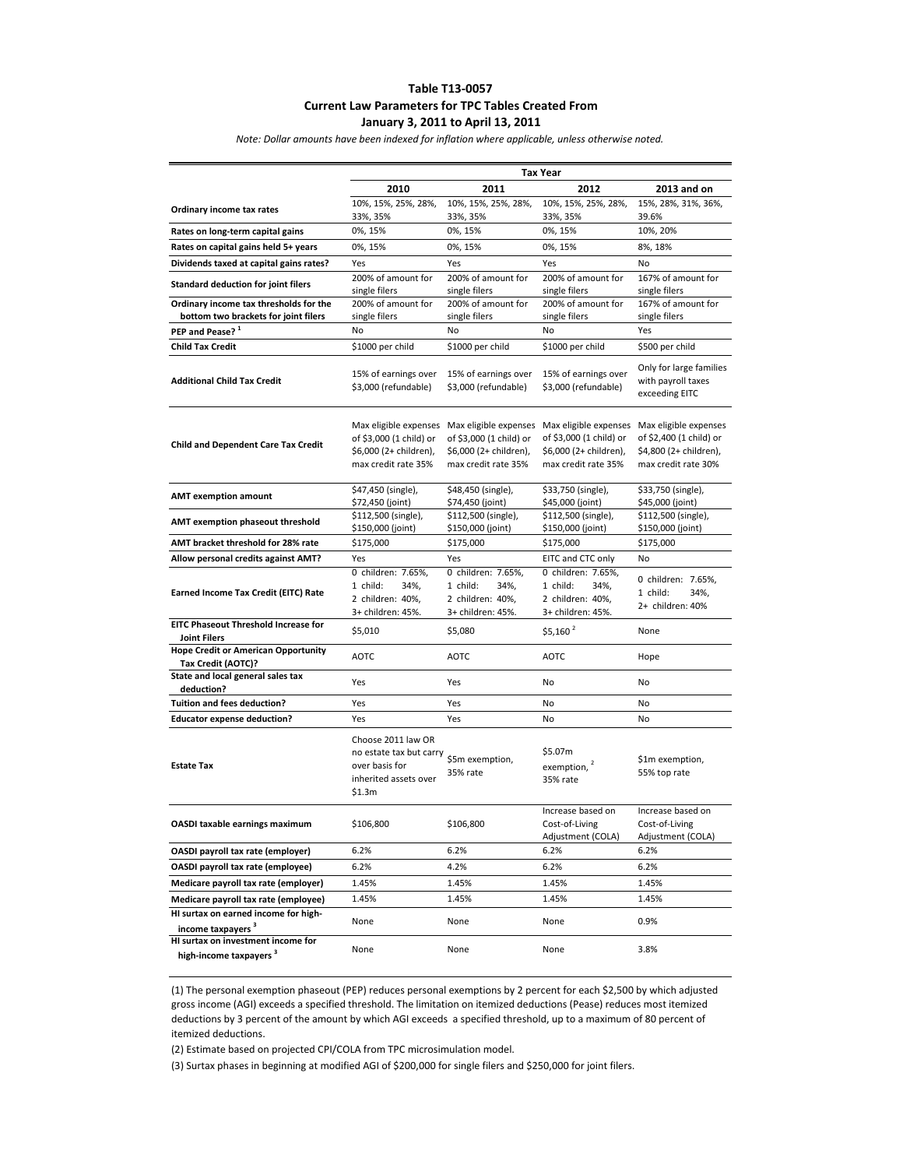## **Table T13-0057 Current Law Parameters for TPC Tables Created From January 3, 2011 to April 13, 2011**

*Note: Dollar amounts have been indexed for inflation where applicable, unless otherwise noted.*

|                                                                          | <b>Tax Year</b>                                                                                    |                                                                                 |                                                                                                                         |                                                                                                   |
|--------------------------------------------------------------------------|----------------------------------------------------------------------------------------------------|---------------------------------------------------------------------------------|-------------------------------------------------------------------------------------------------------------------------|---------------------------------------------------------------------------------------------------|
|                                                                          | 2010                                                                                               | 2011                                                                            | 2012                                                                                                                    | 2013 and on                                                                                       |
| Ordinary income tax rates                                                | 10%, 15%, 25%, 28%,                                                                                | 10%, 15%, 25%, 28%,                                                             | 10%, 15%, 25%, 28%,                                                                                                     | 15%, 28%, 31%, 36%,                                                                               |
|                                                                          | 33%, 35%                                                                                           | 33%, 35%                                                                        | 33%, 35%                                                                                                                | 39.6%                                                                                             |
| Rates on long-term capital gains                                         | 0%, 15%                                                                                            | 0%, 15%                                                                         | 0%, 15%                                                                                                                 | 10%, 20%                                                                                          |
| Rates on capital gains held 5+ years                                     | 0%, 15%                                                                                            | 0%, 15%                                                                         | 0%, 15%                                                                                                                 | 8%, 18%                                                                                           |
| Dividends taxed at capital gains rates?                                  | Yes                                                                                                | Yes                                                                             | Yes                                                                                                                     | No                                                                                                |
| <b>Standard deduction for joint filers</b>                               | 200% of amount for<br>single filers                                                                | 200% of amount for<br>single filers                                             | 200% of amount for<br>single filers                                                                                     | 167% of amount for<br>single filers                                                               |
| Ordinary income tax thresholds for the                                   | 200% of amount for                                                                                 | 200% of amount for                                                              | 200% of amount for                                                                                                      | 167% of amount for                                                                                |
| bottom two brackets for joint filers                                     | single filers                                                                                      | single filers                                                                   | single filers                                                                                                           | single filers                                                                                     |
| PEP and Pease? <sup>1</sup>                                              | No                                                                                                 | No                                                                              | No                                                                                                                      | Yes                                                                                               |
| <b>Child Tax Credit</b>                                                  | \$1000 per child                                                                                   | \$1000 per child                                                                | \$1000 per child                                                                                                        | \$500 per child                                                                                   |
| <b>Additional Child Tax Credit</b>                                       | 15% of earnings over<br>\$3,000 (refundable)                                                       | 15% of earnings over<br>\$3,000 (refundable)                                    | 15% of earnings over<br>\$3,000 (refundable)                                                                            | Only for large families<br>with payroll taxes<br>exceeding EITC                                   |
| <b>Child and Dependent Care Tax Credit</b>                               | Max eligible expenses<br>of \$3,000 (1 child) or<br>\$6,000 (2+ children),<br>max credit rate 35%  | of \$3,000 (1 child) or<br>\$6,000 (2+ children),<br>max credit rate 35%        | Max eligible expenses Max eligible expenses<br>of \$3,000 (1 child) or<br>\$6,000 (2+ children),<br>max credit rate 35% | Max eligible expenses<br>of \$2,400 (1 child) or<br>\$4,800 (2+ children),<br>max credit rate 30% |
| <b>AMT exemption amount</b>                                              | \$47,450 (single),<br>\$72,450 (joint)                                                             | \$48,450 (single),<br>\$74,450 (joint)                                          | \$33,750 (single),<br>\$45,000 (joint)                                                                                  | \$33,750 (single),<br>\$45,000 (joint)                                                            |
| AMT exemption phaseout threshold                                         | \$112,500 (single),<br>\$150,000 (joint)                                                           | \$112,500 (single),<br>\$150,000 (joint)                                        | \$112,500 (single),<br>\$150,000 (joint)                                                                                | \$112,500 (single),<br>\$150,000 (joint)                                                          |
| AMT bracket threshold for 28% rate                                       | \$175,000                                                                                          | \$175,000                                                                       | \$175,000                                                                                                               | \$175,000                                                                                         |
| Allow personal credits against AMT?                                      | Yes                                                                                                | Yes                                                                             | EITC and CTC only                                                                                                       | No                                                                                                |
| Earned Income Tax Credit (EITC) Rate                                     | 0 children: 7.65%,<br>1 child:<br>34%,<br>2 children: 40%,<br>3+ children: 45%.                    | 0 children: 7.65%,<br>1 child:<br>34%,<br>2 children: 40%,<br>3+ children: 45%. | 0 children: 7.65%,<br>1 child:<br>34%,<br>2 children: 40%,<br>3+ children: 45%.                                         | 0 children: 7.65%,<br>1 child:<br>34%,<br>2+ children: 40%                                        |
| EITC Phaseout Threshold Increase for                                     | \$5,010                                                                                            | \$5,080                                                                         | $$5,160^2$                                                                                                              | None                                                                                              |
| <b>Joint Filers</b>                                                      |                                                                                                    |                                                                                 |                                                                                                                         |                                                                                                   |
| <b>Hope Credit or American Opportunity</b><br>Tax Credit (AOTC)?         | <b>AOTC</b>                                                                                        | <b>AOTC</b>                                                                     | <b>AOTC</b>                                                                                                             | Hope                                                                                              |
| State and local general sales tax<br>deduction?                          | Yes                                                                                                | Yes                                                                             | No                                                                                                                      | No                                                                                                |
| <b>Tuition and fees deduction?</b>                                       | Yes                                                                                                | Yes                                                                             | No                                                                                                                      | No                                                                                                |
| <b>Educator expense deduction?</b>                                       | Yes                                                                                                | Yes                                                                             | No                                                                                                                      | No                                                                                                |
| <b>Estate Tax</b>                                                        | Choose 2011 law OR<br>no estate tax but carry<br>over basis for<br>inherited assets over<br>\$1.3m | \$5m exemption,<br>35% rate                                                     | \$5.07m<br>exemption, <sup>2</sup><br>35% rate                                                                          | \$1m exemption,<br>55% top rate                                                                   |
| OASDI taxable earnings maximum                                           | \$106,800                                                                                          | \$106,800                                                                       | Increase based on<br>Cost-of-Living<br>Adjustment (COLA)                                                                | Increase based on<br>Cost-of-Living<br>Adjustment (COLA)                                          |
| OASDI payroll tax rate (employer)                                        | 6.2%                                                                                               | 6.2%                                                                            | 6.2%                                                                                                                    | 6.2%                                                                                              |
| OASDI payroll tax rate (employee)                                        | 6.2%                                                                                               | 4.2%                                                                            | 6.2%                                                                                                                    | 6.2%                                                                                              |
| Medicare payroll tax rate (employer)                                     | 1.45%                                                                                              | 1.45%                                                                           | 1.45%                                                                                                                   | 1.45%                                                                                             |
| Medicare payroll tax rate (employee)                                     | 1.45%                                                                                              | 1.45%                                                                           | 1.45%                                                                                                                   | 1.45%                                                                                             |
| HI surtax on earned income for high-                                     |                                                                                                    |                                                                                 |                                                                                                                         |                                                                                                   |
| income taxpayers <sup>3</sup>                                            | None                                                                                               | None                                                                            | None                                                                                                                    | 0.9%                                                                                              |
| HI surtax on investment income for<br>high-income taxpayers <sup>3</sup> | None                                                                                               | None                                                                            | None                                                                                                                    | 3.8%                                                                                              |

(1) The personal exemption phaseout (PEP) reduces personal exemptions by 2 percent for each \$2,500 by which adjusted gross income (AGI) exceeds a specified threshold. The limitation on itemized deductions (Pease) reduces most itemized deductions by 3 percent of the amount by which AGI exceeds a specified threshold, up to a maximum of 80 percent of itemized deductions.

(2) Estimate based on projected CPI/COLA from TPC microsimulation model.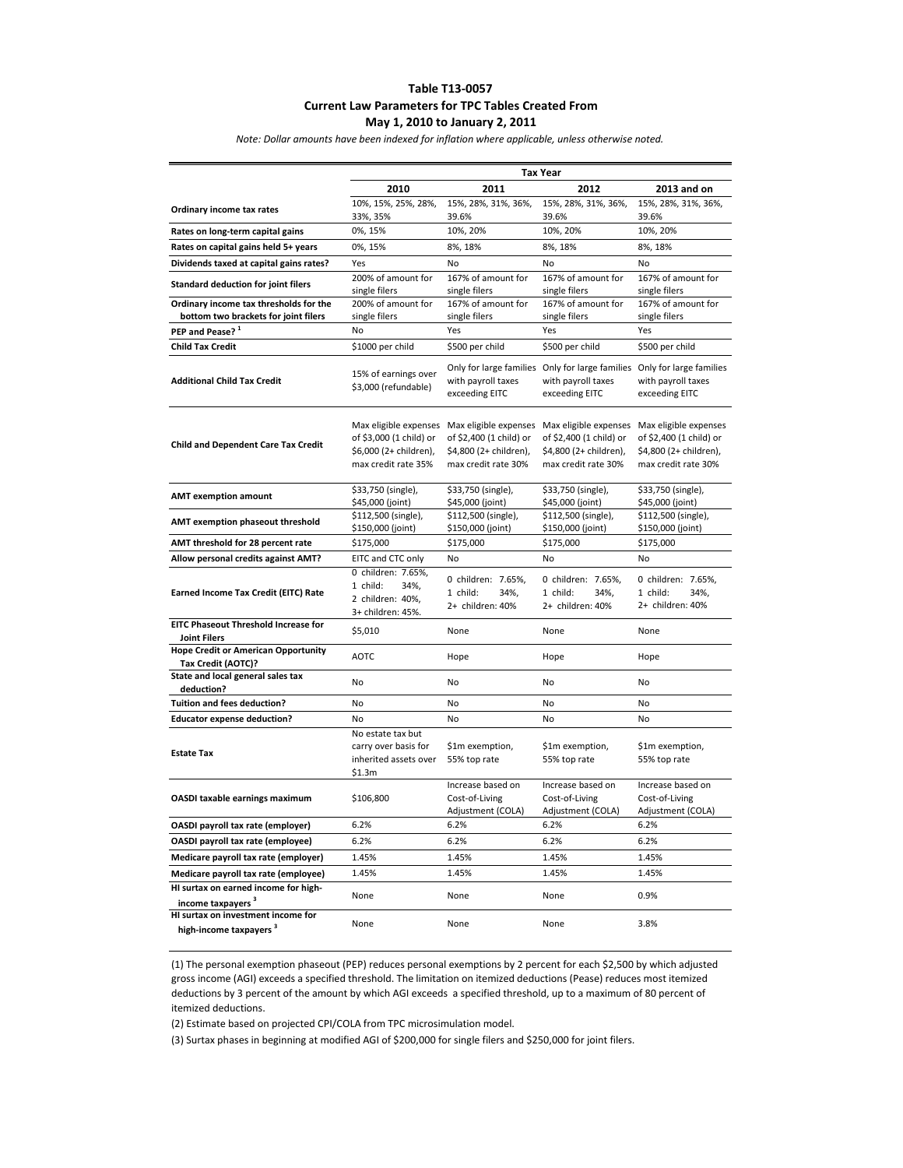# **Table T13-0057 Current Law Parameters for TPC Tables Created From May 1, 2010 to January 2, 2011**

*Note: Dollar amounts have been indexed for inflation where applicable, unless otherwise noted.*

|                                                                          | <b>Tax Year</b>                                                                                   |                                                                          |                                                                                                                         |                                                                                                   |
|--------------------------------------------------------------------------|---------------------------------------------------------------------------------------------------|--------------------------------------------------------------------------|-------------------------------------------------------------------------------------------------------------------------|---------------------------------------------------------------------------------------------------|
|                                                                          | 2010                                                                                              | 2011                                                                     | 2012                                                                                                                    | 2013 and on                                                                                       |
| Ordinary income tax rates                                                | 10%, 15%, 25%, 28%,<br>33%, 35%                                                                   | 15%, 28%, 31%, 36%,<br>39.6%                                             | 15%, 28%, 31%, 36%,<br>39.6%                                                                                            | 15%, 28%, 31%, 36%,<br>39.6%                                                                      |
| Rates on long-term capital gains                                         | 0%, 15%                                                                                           | 10%, 20%                                                                 | 10%, 20%                                                                                                                | 10%, 20%                                                                                          |
| Rates on capital gains held 5+ years                                     | 0%, 15%                                                                                           | 8%, 18%                                                                  | 8%, 18%                                                                                                                 | 8%, 18%                                                                                           |
| Dividends taxed at capital gains rates?                                  | Yes                                                                                               | No                                                                       | No                                                                                                                      | No                                                                                                |
| <b>Standard deduction for joint filers</b>                               | 200% of amount for<br>single filers                                                               | 167% of amount for<br>single filers                                      | 167% of amount for<br>single filers                                                                                     | 167% of amount for<br>single filers                                                               |
| Ordinary income tax thresholds for the                                   | 200% of amount for                                                                                | 167% of amount for                                                       | 167% of amount for                                                                                                      | 167% of amount for                                                                                |
| bottom two brackets for joint filers                                     | single filers                                                                                     | single filers                                                            | single filers                                                                                                           | single filers                                                                                     |
| PEP and Pease? 1                                                         | No                                                                                                | Yes                                                                      | Yes                                                                                                                     | Yes                                                                                               |
| <b>Child Tax Credit</b>                                                  | \$1000 per child                                                                                  | \$500 per child                                                          | \$500 per child                                                                                                         | \$500 per child                                                                                   |
| <b>Additional Child Tax Credit</b>                                       | 15% of earnings over<br>\$3,000 (refundable)                                                      | with payroll taxes<br>exceeding EITC                                     | Only for large families Only for large families<br>with payroll taxes<br>exceeding EITC                                 | Only for large families<br>with payroll taxes<br>exceeding EITC                                   |
| <b>Child and Dependent Care Tax Credit</b>                               | Max eligible expenses<br>of \$3,000 (1 child) or<br>\$6,000 (2+ children),<br>max credit rate 35% | of \$2,400 (1 child) or<br>\$4,800 (2+ children),<br>max credit rate 30% | Max eligible expenses Max eligible expenses<br>of \$2,400 (1 child) or<br>\$4,800 (2+ children),<br>max credit rate 30% | Max eligible expenses<br>of \$2,400 (1 child) or<br>\$4,800 (2+ children),<br>max credit rate 30% |
| <b>AMT exemption amount</b>                                              | \$33,750 (single),<br>\$45,000 (joint)                                                            | \$33,750 (single),<br>\$45,000 (joint)                                   | \$33,750 (single),<br>\$45,000 (joint)                                                                                  | \$33,750 (single),<br>\$45,000 (joint)                                                            |
| AMT exemption phaseout threshold                                         | \$112,500 (single),<br>\$150,000 (joint)                                                          | \$112,500 (single),<br>\$150,000 (joint)                                 | \$112,500 (single),<br>\$150,000 (joint)                                                                                | \$112,500 (single),<br>\$150,000 (joint)                                                          |
| AMT threshold for 28 percent rate                                        | \$175,000                                                                                         | \$175,000                                                                | \$175,000                                                                                                               | \$175,000                                                                                         |
| Allow personal credits against AMT?                                      | EITC and CTC only                                                                                 | No                                                                       | No                                                                                                                      | No                                                                                                |
| Earned Income Tax Credit (EITC) Rate                                     | 0 children: 7.65%,<br>1 child:<br>34%,<br>2 children: 40%,<br>3+ children: 45%.                   | 0 children: 7.65%,<br>1 child:<br>34%,<br>2+ children: 40%               | 0 children: 7.65%,<br>1 child:<br>34%,<br>2+ children: 40%                                                              | 0 children: 7.65%,<br>1 child:<br>34%,<br>2+ children: 40%                                        |
| <b>EITC Phaseout Threshold Increase for</b><br><b>Joint Filers</b>       | \$5,010                                                                                           | None                                                                     | None                                                                                                                    | None                                                                                              |
| <b>Hope Credit or American Opportunity</b><br>Tax Credit (AOTC)?         | <b>AOTC</b>                                                                                       | Hope                                                                     | Hope                                                                                                                    | Hope                                                                                              |
| State and local general sales tax<br>deduction?                          | No                                                                                                | No                                                                       | No                                                                                                                      | No                                                                                                |
| <b>Tuition and fees deduction?</b>                                       | No                                                                                                | No                                                                       | No                                                                                                                      | No                                                                                                |
| <b>Educator expense deduction?</b>                                       | No                                                                                                | No                                                                       | No                                                                                                                      | No                                                                                                |
| <b>Estate Tax</b>                                                        | No estate tax but<br>carry over basis for<br>inherited assets over<br>\$1.3m                      | \$1m exemption,<br>55% top rate                                          | \$1m exemption,<br>55% top rate                                                                                         | \$1m exemption,<br>55% top rate                                                                   |
| OASDI taxable earnings maximum                                           | \$106,800                                                                                         | Increase based on<br>Cost-of-Living<br>Adjustment (COLA)                 | Increase based on<br>Cost-of-Living<br>Adjustment (COLA)                                                                | Increase based on<br>Cost-of-Living<br>Adjustment (COLA)                                          |
| OASDI payroll tax rate (employer)                                        | 6.2%                                                                                              | 6.2%                                                                     | 6.2%                                                                                                                    | 6.2%                                                                                              |
| OASDI payroll tax rate (employee)                                        | 6.2%                                                                                              | 6.2%                                                                     | 6.2%                                                                                                                    | 6.2%                                                                                              |
| Medicare payroll tax rate (employer)                                     | 1.45%                                                                                             | 1.45%                                                                    | 1.45%                                                                                                                   | 1.45%                                                                                             |
| Medicare payroll tax rate (employee)                                     | 1.45%                                                                                             | 1.45%                                                                    | 1.45%                                                                                                                   | 1.45%                                                                                             |
| HI surtax on earned income for high-<br>income taxpayers <sup>3</sup>    | None                                                                                              | None                                                                     | None                                                                                                                    | 0.9%                                                                                              |
| HI surtax on investment income for<br>high-income taxpayers <sup>3</sup> | None                                                                                              | None                                                                     | None                                                                                                                    | 3.8%                                                                                              |

(1) The personal exemption phaseout (PEP) reduces personal exemptions by 2 percent for each \$2,500 by which adjusted gross income (AGI) exceeds a specified threshold. The limitation on itemized deductions (Pease) reduces most itemized deductions by 3 percent of the amount by which AGI exceeds a specified threshold, up to a maximum of 80 percent of itemized deductions.

(2) Estimate based on projected CPI/COLA from TPC microsimulation model.